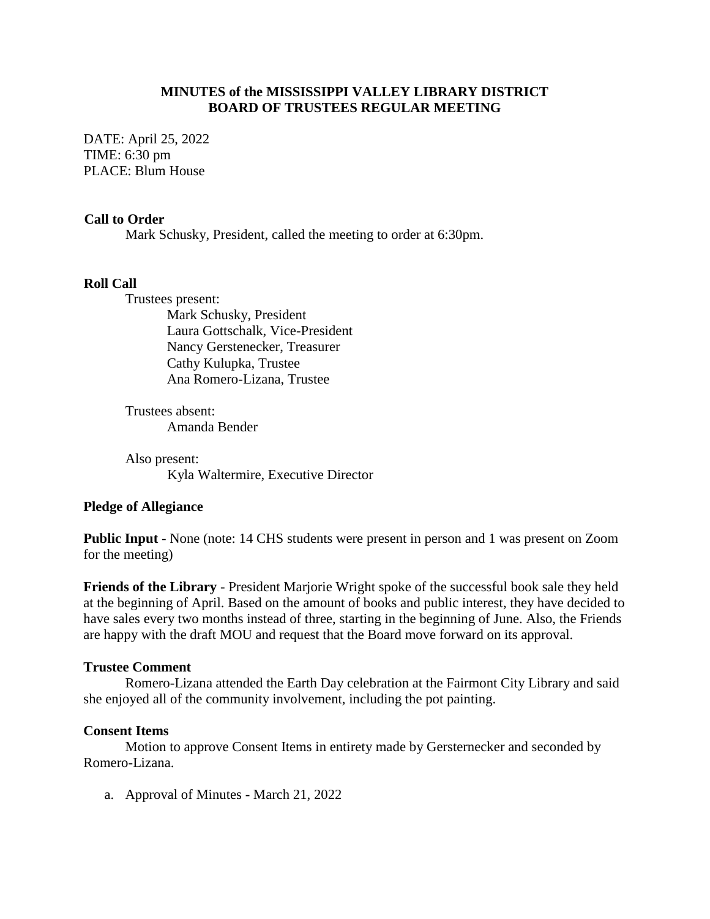## **MINUTES of the MISSISSIPPI VALLEY LIBRARY DISTRICT BOARD OF TRUSTEES REGULAR MEETING**

DATE: April 25, 2022 TIME: 6:30 pm PLACE: Blum House

## **Call to Order**

Mark Schusky, President, called the meeting to order at 6:30pm.

## **Roll Call**

Trustees present: Mark Schusky, President Laura Gottschalk, Vice-President Nancy Gerstenecker, Treasurer Cathy Kulupka, Trustee Ana Romero-Lizana, Trustee

Trustees absent: Amanda Bender

Also present: Kyla Waltermire, Executive Director

# **Pledge of Allegiance**

**Public Input** - None (note: 14 CHS students were present in person and 1 was present on Zoom for the meeting)

**Friends of the Library** - President Marjorie Wright spoke of the successful book sale they held at the beginning of April. Based on the amount of books and public interest, they have decided to have sales every two months instead of three, starting in the beginning of June. Also, the Friends are happy with the draft MOU and request that the Board move forward on its approval.

## **Trustee Comment**

Romero-Lizana attended the Earth Day celebration at the Fairmont City Library and said she enjoyed all of the community involvement, including the pot painting.

# **Consent Items**

Motion to approve Consent Items in entirety made by Gersternecker and seconded by Romero-Lizana.

a. Approval of Minutes - March 21, 2022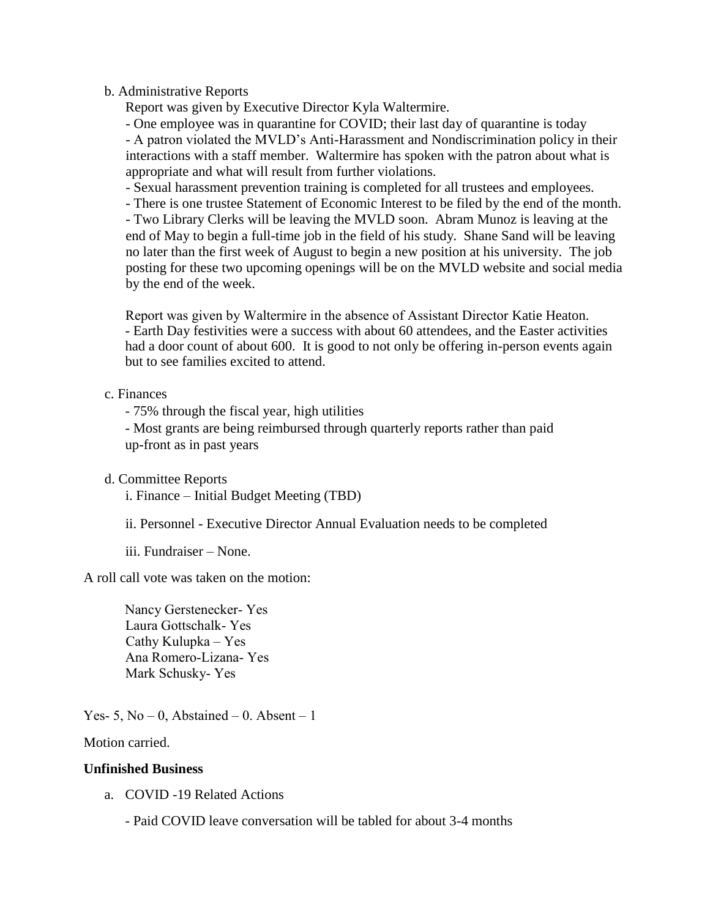## b. Administrative Reports

Report was given by Executive Director Kyla Waltermire.

- One employee was in quarantine for COVID; their last day of quarantine is today

- A patron violated the MVLD's Anti-Harassment and Nondiscrimination policy in their interactions with a staff member. Waltermire has spoken with the patron about what is appropriate and what will result from further violations.

- Sexual harassment prevention training is completed for all trustees and employees.

- There is one trustee Statement of Economic Interest to be filed by the end of the month.

- Two Library Clerks will be leaving the MVLD soon. Abram Munoz is leaving at the end of May to begin a full-time job in the field of his study. Shane Sand will be leaving no later than the first week of August to begin a new position at his university. The job posting for these two upcoming openings will be on the MVLD website and social media by the end of the week.

Report was given by Waltermire in the absence of Assistant Director Katie Heaton. - Earth Day festivities were a success with about 60 attendees, and the Easter activities had a door count of about 600. It is good to not only be offering in-person events again but to see families excited to attend.

## c. Finances

- 75% through the fiscal year, high utilities

- Most grants are being reimbursed through quarterly reports rather than paid up-front as in past years

## d. Committee Reports

i. Finance – Initial Budget Meeting (TBD)

ii. Personnel - Executive Director Annual Evaluation needs to be completed

iii. Fundraiser – None.

# A roll call vote was taken on the motion:

Nancy Gerstenecker- Yes Laura Gottschalk- Yes Cathy Kulupka – Yes Ana Romero-Lizana- Yes Mark Schusky- Yes

Yes- 5, No  $-$  0, Abstained  $-$  0. Absent  $-1$ 

Motion carried.

## **Unfinished Business**

- a. COVID -19 Related Actions
	- Paid COVID leave conversation will be tabled for about 3-4 months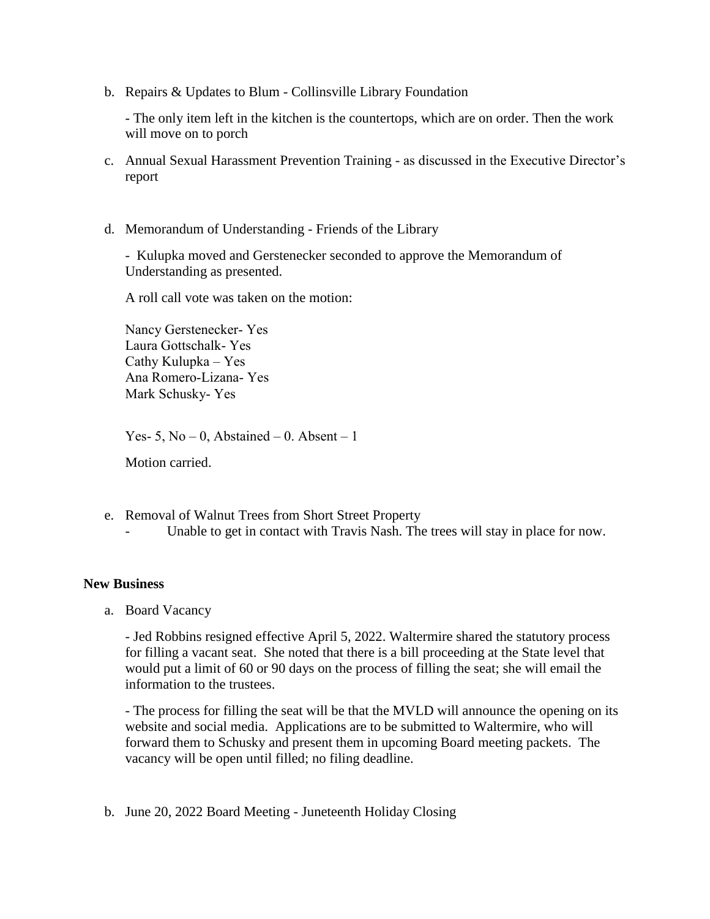b. Repairs & Updates to Blum - Collinsville Library Foundation

- The only item left in the kitchen is the countertops, which are on order. Then the work will move on to porch

- c. Annual Sexual Harassment Prevention Training as discussed in the Executive Director's report
- d. Memorandum of Understanding Friends of the Library

- Kulupka moved and Gerstenecker seconded to approve the Memorandum of Understanding as presented.

A roll call vote was taken on the motion:

Nancy Gerstenecker- Yes Laura Gottschalk- Yes Cathy Kulupka – Yes Ana Romero-Lizana- Yes Mark Schusky- Yes

Yes- 5, No  $-$  0, Abstained  $-$  0. Absent  $-1$ 

Motion carried.

e. Removal of Walnut Trees from Short Street Property Unable to get in contact with Travis Nash. The trees will stay in place for now.

# **New Business**

a. Board Vacancy

- Jed Robbins resigned effective April 5, 2022. Waltermire shared the statutory process for filling a vacant seat. She noted that there is a bill proceeding at the State level that would put a limit of 60 or 90 days on the process of filling the seat; she will email the information to the trustees.

- The process for filling the seat will be that the MVLD will announce the opening on its website and social media. Applications are to be submitted to Waltermire, who will forward them to Schusky and present them in upcoming Board meeting packets. The vacancy will be open until filled; no filing deadline.

b. June 20, 2022 Board Meeting - Juneteenth Holiday Closing